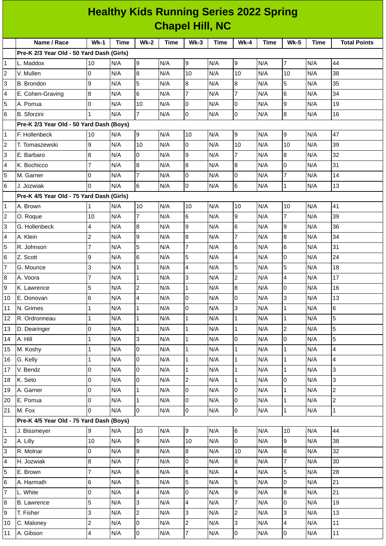| <b>Healthy Kids Running Series 2022 Spring</b> |                                           |                         |      |                     |             |                         |             |                          |      |                |      |                     |
|------------------------------------------------|-------------------------------------------|-------------------------|------|---------------------|-------------|-------------------------|-------------|--------------------------|------|----------------|------|---------------------|
| <b>Chapel Hill, NC</b>                         |                                           |                         |      |                     |             |                         |             |                          |      |                |      |                     |
|                                                | Name / Race                               | $Wk-1$                  | Time | $Wk-2$              | <b>Time</b> | $Wk-3$                  | <b>Time</b> | <b>Wk-4</b>              | Time | <b>Wk-5</b>    | Time | <b>Total Points</b> |
|                                                | Pre-K 2/3 Year Old - 50 Yard Dash (Girls) |                         |      |                     |             |                         |             |                          |      |                |      |                     |
| 1                                              | L. Maddox                                 | 10                      | N/A  | 9                   | N/A         | 9                       | N/A         | 9                        | N/A  | $\overline{7}$ | N/A  | 44                  |
| $\overline{c}$                                 | V. Mullen                                 | $\Omega$                | N/A  | $\overline{8}$      | N/A         | 10                      | N/A         | 10                       | N/A  | 10             | N/A  | 38                  |
| 3                                              | B. Brondon                                | 9                       | N/A  | 5                   | N/A         | $\bf{8}$                | N/A         | 8                        | N/A  | 5              | N/A  | 35                  |
| 4                                              | E. Cohen-Graving                          | 8                       | N/A  | 6                   | N/A         | $\overline{7}$          | N/A         | $\overline{7}$           | N/A  | 6              | N/A  | 34                  |
| 5                                              | A. Porrua                                 | 0                       | N/A  | 10                  | N/A         | $\mathbf 0$             | N/A         | l0                       | N/A  | 9              | N/A  | 19                  |
| 6                                              | <b>B.</b> Sforzini                        | $\mathbf{1}$            | N/A  | $\overline{7}$      | N/A         | 0                       | N/A         | $\overline{0}$           | N/A  | 8              | N/A  | 16                  |
|                                                | Pre-K 2/3 Year Old - 50 Yard Dash (Boys)  |                         |      |                     |             |                         |             |                          |      |                |      |                     |
| $\mathbf{1}$                                   | F. Hollenbeck                             | 10                      | N/A  | 9                   | N/A         | 10                      | N/A         | 9                        | N/A  | 9              | N/A  | 47                  |
| $\overline{c}$                                 | T. Tomaszewski                            | 9                       | N/A  | 10                  | N/A         | 0                       | N/A         | 10                       | N/A  | 10             | N/A  | 39                  |
| 3                                              | E. Barbaro                                | 8                       | N/A  | 0                   | N/A         | 9                       | N/A         | $\overline{7}$           | N/A  | 8              | N/A  | 32                  |
| 4                                              | K. Bochicco                               | $\overline{7}$          | N/A  | $\overline{8}$      | N/A         | $\bf 8$                 | N/A         | 8                        | N/A  | 0              | N/A  | 31                  |
| 5                                              | M. Garner                                 | 0                       | N/A  | $\overline{7}$      | N/A         | 0                       | N/A         | $\overline{0}$           | N/A  | 7              | N/A  | 14                  |
| 6                                              | J. Jozwiak                                | $\Omega$                | N/A  | 6                   | N/A         | $\overline{0}$          | N/A         | 6                        | N/A  | $\mathbf{1}$   | N/A  | 13                  |
|                                                | Pre-K 4/5 Year Old - 75 Yard Dash (Girls) |                         |      |                     |             |                         |             |                          |      |                |      |                     |
| 1                                              | A. Brown                                  | $\mathbf{1}$            | N/A  | 10                  | N/A         | 10                      | N/A         | 10                       | N/A  | 10             | N/A  | 41                  |
| 2                                              | O. Roque                                  | 10                      | N/A  | $\overline{7}$      | N/A         | $\,6$                   | N/A         | l9                       | N/A  | $\overline{7}$ | N/A  | 39                  |
| 3                                              | G. Hollenbeck                             | 4                       | N/A  | 8                   | N/A         | 9                       | N/A         | 6                        | N/A  | 9              | N/A  | 36                  |
| 4                                              | A. Klein                                  | $\overline{c}$          | N/A  | $\overline{9}$      | N/A         | $\bf{8}$                | N/A         | $\overline{7}$           | N/A  | 8              | N/A  | 34                  |
| 5                                              | R. Johnson                                | $\overline{7}$          | N/A  | 5                   | N/A         | $\overline{7}$          | N/A         | $\,$ 6                   | N/A  | 6              | N/A  | 31                  |
| 6                                              | Z. Scott                                  | 9                       | N/A  | 6                   | N/A         | 5                       | N/A         | $\overline{\mathcal{A}}$ | N/A  | 0              | N/A  | 24                  |
| $\overline{7}$                                 | G. Mounce                                 | 3                       | N/A  | $\mathbf{1}$        | N/A         | 4                       | N/A         | $\overline{5}$           | N/A  | 5              | N/A  | 18                  |
| 8                                              | A. Voora                                  | $\overline{7}$          | N/A  | $\mathbf{1}$        | N/A         | 3                       | N/A         | $\overline{c}$           | N/A  | 4              | N/A  | 17                  |
| 9                                              | K. Lawrence                               | 5                       | N/A  | $\overline{c}$      | N/A         | $\mathbf 1$             | N/A         | 8                        | N/A  | 0              | N/A  | 16                  |
| 10                                             | E. Donovan                                | $\,$ 6                  | N/A  | $\overline{4}$      | N/A         | 0                       | N/A         | 0                        | N/A  | 3              | N/A  | 13                  |
| 11                                             | N. Grimes                                 | 1                       | N/A  | $\mathbf 1$         | N/A         | 0                       | N/A         | 3                        | N/A  | $\mathbf 1$    | N/A  | 6                   |
| 12                                             | R. Ordronneau                             | $\mathbf{1}$            | N/A  | $\mathbf{1}$        | N/A         | $\mathbf 1$             | N/A         | $\mathbf 1$              | N/A  | 1              | N/A  | 5                   |
| 13                                             | D. Dearinger                              | 0                       | N/A  | $\mathbf{1}$        | N/A         | $\mathbf 1$             | N/A         | $\mathbf 1$              | N/A  | $\overline{c}$ | N/A  | 5                   |
| 14                                             | A. Hill                                   | $\mathbf{1}$            | N/A  | 3                   | N/A         | $\mathbf 1$             | N/A         | 0                        | N/A  | 0              | N/A  | 5                   |
| 15                                             | M. Koshy                                  | $\mathbf{1}$            | N/A  | $\overline{0}$      | N/A         | $\mathbf 1$             | N/A         | $\mathbf 1$              | N/A  | $\mathbf 1$    | N/A  | 4                   |
| 16                                             | G. Kelly                                  | 1                       | N/A  | l0                  | N/A         | $\mathbf 1$             | N/A         | $\mathbf 1$              | N/A  | $\mathbf 1$    | N/A  | $\overline{4}$      |
| 17                                             | V. Bendz                                  | 0                       | N/A  | $\overline{0}$      | N/A         | $\mathbf 1$             | N/A         | $\mathbf 1$              | N/A  | 1              | N/A  | 3                   |
| 18                                             | K. Seto                                   | 0                       | N/A  | 0                   | N/A         | $\overline{c}$          | N/A         | $\mathbf 1$              | N/A  | 0              | N/A  | 3                   |
| 19                                             | A. Garner                                 | 0                       | N/A  | $\mathbf 1$         | N/A         | $\pmb{0}$               | N/A         | 0                        | N/A  | $\mathbf 1$    | N/A  | $\overline{c}$      |
| 20                                             | E. Porrua                                 | 0                       | N/A  | $\mathbf 1$         | N/A         | $\mathsf 0$             | N/A         | $\overline{0}$           | N/A  | 1              | N/A  | $\overline{c}$      |
| 21                                             | M. Fox                                    | $\Omega$                | N/A  | l0                  | N/A         | $\overline{0}$          | N/A         | 0                        | N/A  | $\mathbf{1}$   | N/A  | $\mathbf{1}$        |
|                                                | Pre-K 4/5 Year Old - 75 Yard Dash (Boys)  |                         |      |                     |             |                         |             |                          |      |                |      |                     |
| $\mathbf 1$                                    | J. Bissmeyer                              | 9                       | N/A  | 10                  | N/A         | 9                       | N/A         | 6                        | N/A  | 10             | N/A  | 44                  |
| 2                                              | A. Lilly                                  | 10                      | N/A  | 9                   | N/A         | 10                      | N/A         | lo                       | N/A  | 9              | N/A  | 38                  |
| 3                                              | R. Molnar                                 | 0                       | N/A  | 8                   | N/A         | $8\,$                   | N/A         | 10                       | N/A  | 6              | N/A  | 32                  |
| 4                                              | H. Jozwiak                                | 8                       | N/A  | $\overline{7}$      | N/A         | $\mathsf 0$             | N/A         | $\overline{8}$           | N/A  | $\overline{7}$ | N/A  | 30                  |
| 5                                              | E. Brown                                  | 7                       | N/A  | 6                   | N/A         | 6                       | N/A         | $\overline{\mathcal{A}}$ | N/A  | 5              | N/A  | 28                  |
| 6                                              | A. Harmath                                | 6                       | N/A  | 5                   | N/A         | 5                       | N/A         | 5                        | N/A  | 0              | N/A  | 21                  |
| 7                                              | L. White                                  | 0                       | N/A  | $\overline{4}$      | N/A         | $\mathsf 0$             | N/A         | $\boldsymbol{9}$         | N/A  | 8              | N/A  | 21                  |
| 8                                              | <b>B.</b> Lawrence                        | 5                       | N/A  | 3                   | N/A         | $\overline{\mathbf{4}}$ | N/A         | $\overline{7}$           | N/A  | 0              | N/A  | 19                  |
| 9                                              | T. Fisher                                 | 3                       | N/A  | $\overline{c}$      | N/A         | 3                       | N/A         | $\overline{c}$           | N/A  | 3              | N/A  | 13                  |
| 10                                             | C. Maloney                                | $\overline{\mathbf{c}}$ | N/A  | 0                   | N/A         | $\overline{c}$          | N/A         | 3                        | N/A  | 4              | N/A  | 11                  |
| 11                                             | A. Gibson                                 | 4                       | N/A  | $\mathsf{O}\xspace$ | N/A         | $\overline{\mathbf{7}}$ | N/A         | $\overline{\mathbf{0}}$  | N/A  | 0              | N/A  | 11                  |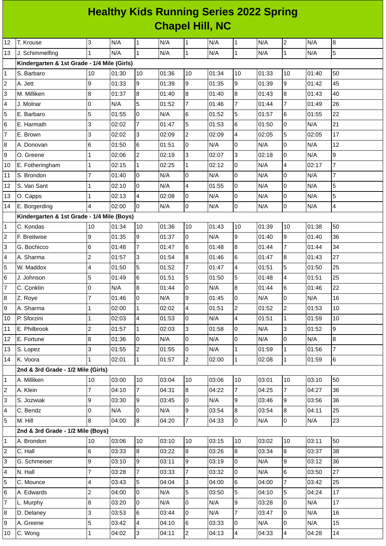## **Healthy Kids Running Series 2022 Spring Chapel Hill, NC**

| 12                      | T. Krouse                                   | $\overline{3}$           | N/A   | $\mathbf{1}$    | N/A   | $\mathbf{1}$   | N/A   | $\mathbf{1}$             | N/A   | $\overline{c}$   | N/A   | 8                       |
|-------------------------|---------------------------------------------|--------------------------|-------|-----------------|-------|----------------|-------|--------------------------|-------|------------------|-------|-------------------------|
| 13                      | J. Schimmelfing                             | $\mathbf{1}$             | N/A   | $\overline{1}$  | N/A   | $\overline{1}$ | N/A   | $\mathbf{1}$             | N/A   | $\mathbf{1}$     | N/A   | 5                       |
|                         | Kindergarten & 1st Grade - 1/4 Mile (Girls) |                          |       |                 |       |                |       |                          |       |                  |       |                         |
| $\mathbf 1$             | S. Barbaro                                  | 10                       | 01:30 | 10              | 01:36 | 10             | 01:34 | 10                       | 01:33 | 10               | 01:40 | 50                      |
| $\overline{c}$          | A. Jett                                     | 9                        | 01:33 | 9               | 01:39 | 9              | 01:35 | 9                        | 01:39 | $\boldsymbol{9}$ | 01:42 | 45                      |
| 3                       | M. Milliken                                 | $\bf{8}$                 | 01:37 | 8               | 01:40 | 8              | 01:40 | $\overline{8}$           | 01:43 | $\, 8$           | 01:43 | 40                      |
| 4                       | J. Molnar                                   | O                        | N/A   | 5               | 01:52 | $\overline{7}$ | 01:46 | $\overline{7}$           | 01:44 | $\overline{7}$   | 01:49 | 26                      |
| 5                       | E. Barbaro                                  | 5                        | 01:55 | 0               | N/A   | $\,6$          | 01:52 | 5                        | 01:57 | $\,6$            | 01:55 | 22                      |
| 6                       | E. Harmath                                  | 3                        | 02:02 | $\overline{7}$  | 01:47 | 5              | 01:53 | 6                        | 01:50 | lo               | N/A   | 21                      |
| $\overline{7}$          | E. Brown                                    | 3                        | 02:02 | l3              | 02:09 | $\overline{c}$ | 02:09 | $\overline{\mathcal{A}}$ | 02:05 | 5                | 02:05 | 17                      |
| 8                       | A. Donovan                                  | $6\phantom{.}6$          | 01:50 | 6               | 01:51 | l0             | N/A   | 0                        | N/A   | $\pmb{0}$        | N/A   | 12                      |
| 9                       | O. Greene                                   | $\mathbf 1$              | 02:06 | $\overline{2}$  | 02:19 | 3              | 02:07 | $\overline{3}$           | 02:18 | $\overline{0}$   | N/A   | 9                       |
| 10                      | E. Fotheringham                             | 1                        | 02:15 | $\overline{1}$  | 02:25 | $\mathbf{1}$   | 02:12 | 0                        | N/A   | $\pmb{4}$        | 02:17 | $\overline{7}$          |
| $11\,$                  | S. Brondon                                  | $\overline{7}$           | 01:40 | l0              | N/A   | l0             | N/A   | 0                        | N/A   | $\mathsf 0$      | N/A   | $\overline{7}$          |
| 12                      | S. Van Sant                                 | 1                        | 02:10 | l0              | N/A   | $\overline{4}$ | 01:55 | $\overline{0}$           | N/A   | $\overline{0}$   | N/A   | 5                       |
| 13                      | O. Capps                                    | $\mathbf{1}$             | 02:13 | $\overline{4}$  | 02:08 | O              | N/A   | 0                        | N/A   | 0                | N/A   | 5                       |
| 14                      | E. Borgerding                               | $\overline{4}$           | 02:00 | I٥              | N/A   | $\mathsf 0$    | N/A   | 0                        | N/A   | $\mathsf 0$      | N/A   | $\overline{\mathbf{4}}$ |
|                         | Kindergarten & 1st Grade - 1/4 Mile (Boys)  |                          |       |                 |       |                |       |                          |       |                  |       |                         |
| 1                       | C. Kondas                                   | 10                       | 01:34 | 10              | 01:36 | 10             | 01:43 | 10                       | 01:39 | 10               | 01:38 | 50                      |
| $\overline{\mathbf{c}}$ | F. Breitwise                                | 9                        | 01:35 | g               | 01:37 | $\overline{0}$ | N/A   | $\overline{9}$           | 01:40 | g                | 01:40 | 36                      |
| 3                       | G. Bochicco                                 | 6                        | 01:48 | $\overline{7}$  | 01:47 | 6              | 01:48 | $\overline{8}$           | 01:44 | $\overline{7}$   | 01:44 | 34                      |
| 4                       | A. Sharma                                   | $\overline{c}$           | 01:57 | Iз              | 01:54 | 8              | 01:46 | 6                        | 01:47 | $\, 8$           | 01:43 | 27                      |
| 5                       | W. Maddox                                   | $\overline{4}$           | 01:50 | 5               | 01:52 | $\overline{7}$ | 01:47 | $\overline{4}$           | 01:51 | $\overline{5}$   | 01:50 | 25                      |
| 6                       | J. Johnson                                  | 5                        | 01:49 | 6               | 01:51 | 5              | 01:50 | 5                        | 01:48 | $\pmb{4}$        | 01:51 | 25                      |
| $\overline{7}$          | C. Conklin                                  | 0                        | N/A   | $\overline{8}$  | 01:44 | $\mathsf 0$    | N/A   | 8                        | 01:44 | $\,$ 6           | 01:46 | 22                      |
| 8                       | Z. Roye                                     | 7                        | 01:46 | l0              | N/A   | 9              | 01:45 | $\overline{0}$           | N/A   | $\overline{0}$   | N/A   | 16                      |
| 9                       | A. Sharma                                   | 1                        | 02:00 | $\mathbf{1}$    | 02:02 | $\overline{4}$ | 01:51 | 2                        | 01:52 | $\overline{c}$   | 01:53 | 10                      |
| 10                      | P. Sforzini                                 | $\mathbf{1}$             | 02:03 | $\overline{4}$  | 01:53 | 0              | N/A   | $\overline{\mathcal{L}}$ | 01:51 | $\mathbf{1}$     | 01:59 | 10                      |
| 11                      | E. Philbrook                                | $\overline{c}$           | 01:57 | 11              | 02:03 | 3              | 01:58 | $\overline{0}$           | N/A   | 3                | 01:52 | 9                       |
| 12                      | E. Fortune                                  | $\bf{8}$                 | 01:36 | Iо              | N/A   | 0              | N/A   | 0                        | N/A   | $\overline{0}$   | N/A   | 8                       |
| 13                      | S. Lopez                                    | 3                        | 01:55 | $\overline{2}$  | 01:55 | l0             | N/A   | $\mathbf 1$              | 01:59 | $\mathbf 1$      | 01:56 | $\overline{7}$          |
| 14                      | K. Voora                                    | $\mathbf{1}$             | 02:01 | $\mathbf{1}$    | 01:57 | $\overline{2}$ | 02:00 | $\mathbf 1$              | 02:08 | $\vert$ 1        | 01:59 | $6\overline{6}$         |
|                         | 2nd & 3rd Grade - 1/2 Mile (Girls)          |                          |       |                 |       |                |       |                          |       |                  |       |                         |
| $\mathbf{1}$            | A. Milliken                                 | 10                       | 03:00 | 10              | 03:04 | 10             | 03:06 | 10                       | 03:01 | 10               | 03:10 | 50                      |
| $\overline{\mathbf{c}}$ | A. Klein                                    | $\overline{7}$           | 04:10 | $\overline{7}$  | 04:31 | 8              | 04:22 | 7                        | 04:25 | $\overline{7}$   | 04:27 | 36                      |
| 3                       | S. Jozwiak                                  | 9                        | 03:30 | 9               | 03:45 | 0              | N/A   | $\overline{9}$           | 03:46 | 9                | 03:56 | 36                      |
| 4                       | C. Bendz                                    | 0                        | N/A   | Iо              | N/A   | 9              | 03:54 | 8                        | 03:54 | 8                | 04:11 | 25                      |
| 5                       | M. Hill                                     | 8                        | 04:00 | $\overline{8}$  | 04:20 | $\overline{7}$ | 04:33 | $\overline{0}$           | N/A   | l0               | N/A   | 23                      |
|                         | 2nd & 3rd Grade - 1/2 Mile (Boys)           |                          |       |                 |       |                |       |                          |       |                  |       |                         |
| 1                       | A. Brondon                                  | 10                       | 03:06 | 10              | 03:10 | 10             | 03:15 | 10                       | 03:02 | 10               | 03:11 | 50                      |
| $\overline{\mathbf{c}}$ | C. Hall                                     | 6                        | 03:33 | $\overline{8}$  | 03:22 | 8              | 03:26 | 8                        | 03:34 | $8\,$            | 03:37 | 38                      |
| 3                       | G. Schmeiser                                | 9                        | 03:10 | 9               | 03:11 | 9              | 03:19 | 0                        | N/A   | $\mathsf g$      | 03:12 | 36                      |
| 4                       | N. Hall                                     | $\overline{7}$           | 03:28 | 7               | 03:33 | $\overline{7}$ | 03:32 | 0                        | N/A   | $\,$ 6           | 03:50 | 27                      |
| 5                       | C. Mounce                                   | $\overline{\mathcal{L}}$ | 03:43 | 5               | 04:04 | 3              | 04:00 | 6                        | 04:00 | $\overline{7}$   | 03:42 | 25                      |
| 6                       | A. Edwards                                  | $\overline{c}$           | 04:00 | l0              | N/A   | 5              | 03:50 | 5                        | 04:10 | 5                | 04:24 | 17                      |
| $\overline{7}$          | L. Murphy                                   | $\bf{8}$                 | 03:20 | 0               | N/A   | 0              | N/A   | 9                        | 03:28 | 0                | N/A   | 17                      |
| 8                       | D. Delaney                                  | 3                        | 03:53 | $6\phantom{.}6$ | 03:44 | 0              | N/A   | $\overline{7}$           | 03:47 | $\overline{0}$   | N/A   | 16                      |
| 9                       | A. Greene                                   | 5                        | 03:42 | $\overline{4}$  | 04:10 | 6              | 03:33 | 0                        | N/A   | $\overline{0}$   | N/A   | 15                      |
| 10                      | C. Wong                                     | 1                        | 04:02 | 3               | 04:11 | $\overline{2}$ | 04:13 | $\overline{4}$           | 04:33 | $\pmb{4}$        | 04:28 | 14                      |
|                         |                                             |                          |       |                 |       |                |       |                          |       |                  |       |                         |